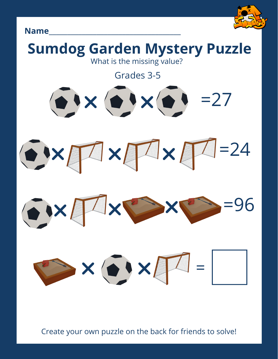





Create your own puzzle on the back for friends to solve!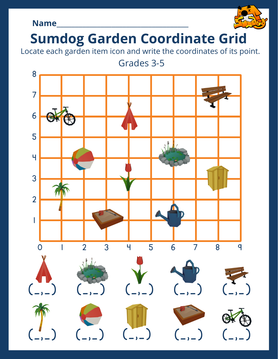## **Name**\_\_\_\_\_\_\_\_\_\_\_\_\_\_\_\_\_\_\_\_\_\_\_\_\_\_\_\_\_\_\_\_\_\_\_\_



# **Sumdog Garden Coordinate Grid**

Locate each garden item icon and write the coordinates of its point.

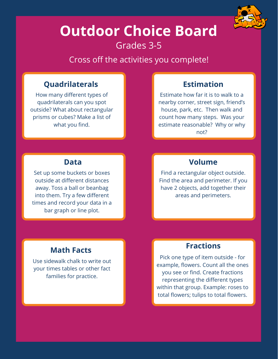

# **Outdoor Choice Board** Grades 3-5

Cross off the activities you complete!

### **Quadrilaterals Estimation**

How many different types of quadrilaterals can you spot outside? What about rectangular prisms or cubes? Make a list of what you find.

Estimate how far it is to walk to a nearby corner, street sign, friend's house, park, etc. Then walk and count how many steps. Was your estimate reasonable? Why or why not?

Set up some buckets or boxes outside at different distances away. Toss a ball or beanbag into them. Try a few different times and record your data in a bar graph or line plot.

### **Data Volume**

Find a rectangular object outside. Find the area and perimeter. If you have 2 objects, add together their areas and perimeters.

Use sidewalk chalk to write out your times tables or other fact families for practice.

# **Math Facts Fractions**

Pick one type of item outside - for example, flowers. Count all the ones you see or find. Create fractions representing the different types within that group. Example: roses to total flowers; tulips to total flowers.